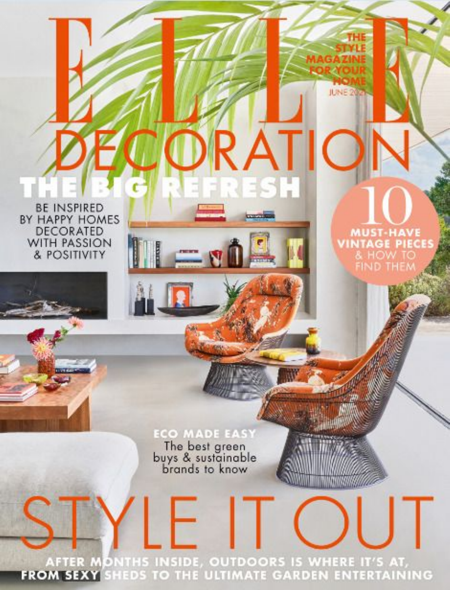**BE INSPIRED** BY HAPPY HOMES **DECORATED** WITH PASSION & POSITIVITY

> **ECO MADE EASY** The best green<br>buys & sustainable<br>brands to know

′ ⊢

 $=$  $\mathbf{N}$ 

**JUNE 20** 

I TYMONYMI AI

F

**MUST-HAVE**<br>VINTAGE PIECES

R A I

ESH

AFTER MONTHS INSIDE, OUTDOORS IS WHERE IT'S AT, FROM SEXY SHEDS TO THE ULTIMATE GARDEN ENTERTAINING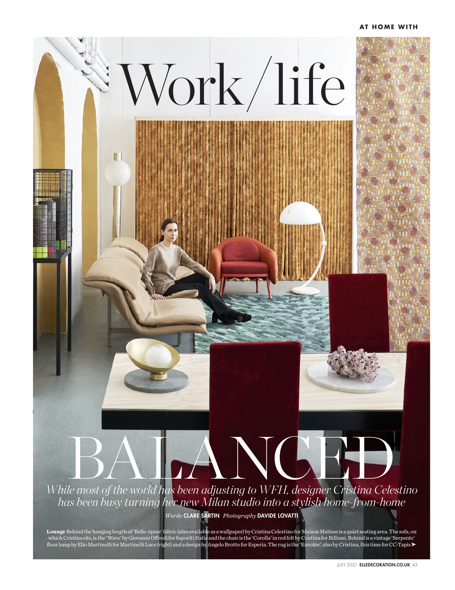## **AT HOME WITH**



**Lounge** Behind the hanging length of 'Belle-épine' fabric (also available as a wallpaper) by Cristina Celestino for Maison Matisse is a quiet seating area. The sofa, on which Cristina sits, is the 'Wave' by Giovanni Offredi for Saporiti Italia and the chair is the 'Corolla' in red felt by Cristina for Billiani. Behind is a vintage 'Serpente' floor lamp by Elio Martinelli for Martinelli Luce (right) and a design by Angelo Brotto for Esperia. The rug is the 'Envolée', also by Cristina, this time for CC-Tapis ➤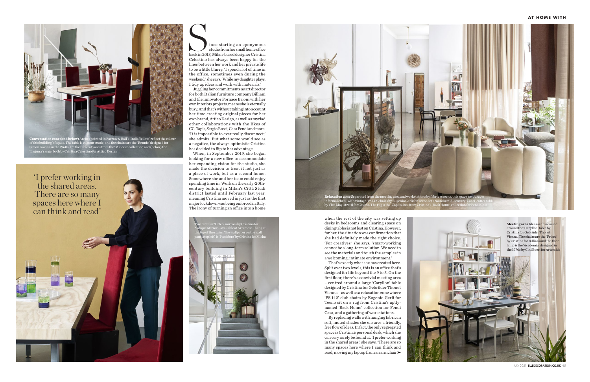JULY 2021 ELLEDECORATION.CO.UK 45

**AT HOME WITH**

ince starting an eponymous studio from her small home office  $\begin{minipage}{0.5\linewidth} \begin{tabular}{|l|l|} \hline \textbf{line} starting an eponymous  
studio from her small home office  
back in 2013, Milan-based designer Cristina \\ \hline \end{tabular} \end{minipage}$ Celestino has always been happy for the lines between her work and her private life to be a little blurry. 'I spend a lot of time in the office, sometimes even during the weekend,' she says. 'While my daughter plays, I tidy up ideas and work with materials.'

Juggling her commitments as art director for both Italian furniture company Billiani and tile innovator Fornace Brioni with her own interiors projects, means she is eternally busy. And that's without taking into account her time creating original pieces for her own brand, Attico Design, as well as myriad other collaborations with the likes of CC-Tapis, Sergio Rossi, Casa Fendi and more. 'It is impossible to ever really disconnect,' she admits. But what some would see as a negative, the always optimistic Cristina has decided to flip to her advantage.

When, in September 2019, she began looking for a new office to accommodate her expanding vision for the studio, she made the decision to treat it not just as a place of work, but as a second home. Somewhere she and her team could enjoy spending time in. Work on the early-20thcentury building in Milan's Città Studi district lasted until February last year, meaning Cristina moved in just as the first major lockdown was being enforced in Italy. The irony of turning an office into a home

> desks in bedrooms and clearing space on dining tables is not lost on Cristina. However, for her, the situation was confirmation that she had definitely made the right choice. 'For creatives,' she says, 'smart-working cannot be a long-term solution. We need to see the materials and touch the samples in a welcoming, intimate environment.'

> That's exactly what she has created here. Split over two levels, this is an office that's designed for life beyond the 9 to 5. On the first floor, there's a convivial meeting area – centred around a large 'Caryllon' table designed by Cristina for Gebrüder Thonet Vienna – as well as a relaxation zone where 'PS 142' club chairs by Eugenio Gerli for Tecno sit on a rug from Cristina's aptlynamed 'Back Home' collection for Fendi Casa, and a gathering of workstations.

> By replacing walls with hanging fabric in soft, muted shades she ensures a friendly, free flow of ideas. In fact, the only segregated space is Cristina's personal desk, which she can very rarely be found at. 'I prefer working in the shared areas,' she says. 'There are so many spaces here where I can think and read, moving my laptop from an armchair











of this building's façade. The table is custom-made, and the chairs are the 'Rennie' designed for Simon Gavina in the 1960s. On the table sit vases from the 'Miuccia' collection and (below) the 'Laguna' range, both by Cristina Celestino for Attico Design